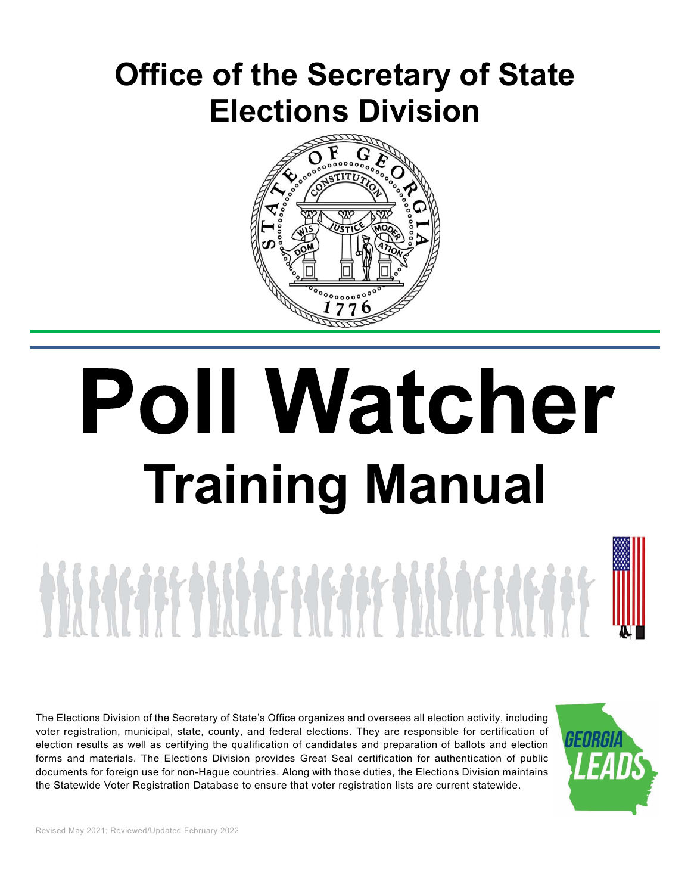## Office of the Secretary of State Elections Division



# **Poll Watcher** Training Manual

ON METAFONISAS HASTARIS AS TELETA

The Elections Division of the Secretary of State's Office organizes and oversees all election activity, including voter registration, municipal, state, county, and federal elections. They are responsible for certification of election results as well as certifying the qualification of candidates and preparation of ballots and election forms and materials. The Elections Division provides Great Seal certification for authentication of public documents for foreign use for non-Hague countries. Along with those duties, the Elections Division maintains the Statewide Voter Registration Database to ensure that voter registration lists are current statewide.

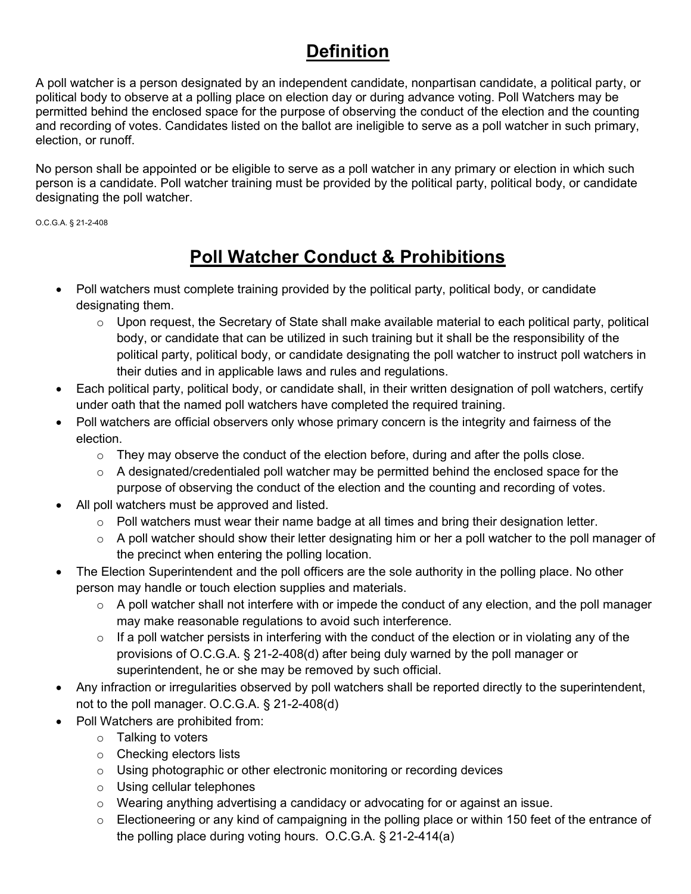## **Definition**

A poll watcher is a person designated by an independent candidate, nonpartisan candidate, a political party, or political body to observe at a polling place on election day or during advance voting. Poll Watchers may be permitted behind the enclosed space for the purpose of observing the conduct of the election and the counting and recording of votes. Candidates listed on the ballot are ineligible to serve as a poll watcher in such primary, election, or runoff.

No person shall be appointed or be eligible to serve as a poll watcher in any primary or election in which such person is a candidate. Poll watcher training must be provided by the political party, political body, or candidate designating the poll watcher.

O.C.G.A. § 21-2-408

## Poll Watcher Conduct & Prohibitions

- Poll watchers must complete training provided by the political party, political body, or candidate designating them.
	- $\circ$  Upon request, the Secretary of State shall make available material to each political party, political body, or candidate that can be utilized in such training but it shall be the responsibility of the political party, political body, or candidate designating the poll watcher to instruct poll watchers in their duties and in applicable laws and rules and regulations.
- Each political party, political body, or candidate shall, in their written designation of poll watchers, certify under oath that the named poll watchers have completed the required training.
- Poll watchers are official observers only whose primary concern is the integrity and fairness of the election.
	- $\circ$  They may observe the conduct of the election before, during and after the polls close.
	- o A designated/credentialed poll watcher may be permitted behind the enclosed space for the purpose of observing the conduct of the election and the counting and recording of votes.
- All poll watchers must be approved and listed.
	- o Poll watchers must wear their name badge at all times and bring their designation letter.
	- $\circ$  A poll watcher should show their letter designating him or her a poll watcher to the poll manager of the precinct when entering the polling location.
- The Election Superintendent and the poll officers are the sole authority in the polling place. No other person may handle or touch election supplies and materials.
	- $\circ$  A poll watcher shall not interfere with or impede the conduct of any election, and the poll manager may make reasonable regulations to avoid such interference.
	- $\circ$  If a poll watcher persists in interfering with the conduct of the election or in violating any of the provisions of O.C.G.A. § 21-2-408(d) after being duly warned by the poll manager or superintendent, he or she may be removed by such official.
- Any infraction or irregularities observed by poll watchers shall be reported directly to the superintendent, not to the poll manager. O.C.G.A. § 21-2-408(d)
- Poll Watchers are prohibited from:
	- o Talking to voters
	- o Checking electors lists
	- o Using photographic or other electronic monitoring or recording devices
	- o Using cellular telephones
	- $\circ$  Wearing anything advertising a candidacy or advocating for or against an issue.
	- o Electioneering or any kind of campaigning in the polling place or within 150 feet of the entrance of the polling place during voting hours. O.C.G.A. § 21-2-414(a)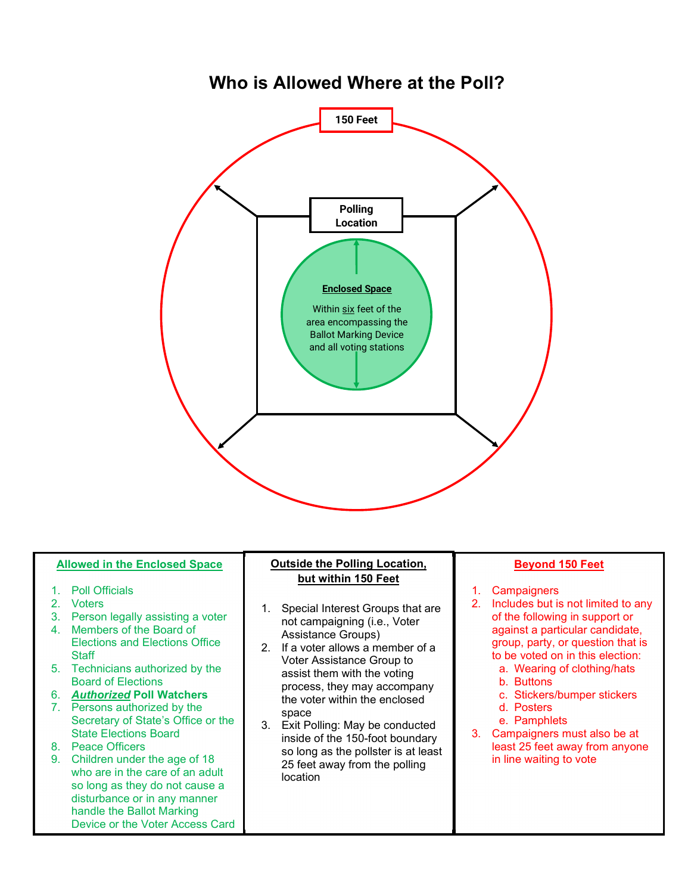### Who is Allowed Where at the Poll?



#### Allowed in the Enclosed Space

- 
- 
- 
- Elections and Elections Office<br>
2. If a voter allows a member of a **Staff**
- Board of Elections
- 6. **Authorized Poll Watchers**<br>7. Persons authorized by the
- Secretary of State's Office or the space<br>3. Exit Polling: May be conducted State Elections Board<br>8. Peace Officers
- 
- who are in the care of an adult so long as they do not cause a disturbance or in any manner handle the Ballot Marking Device or the Voter Access Card

#### Outside the Polling Location, but within 150 Feet<br>
1. Campaigners

- not campaigning (i.e., Voter Assistance Groups)
- Voter Assistance Group to<br>a. Wearing of clothing/hats<br>a. Wearing of clothing/hats assist them with the voting a wearing<br>b. Buttons process, they may accompany<br>the veter within the anglesed c. Stickers/bumper stickers the voter within the enclosed and the voter within the enclosed d. Posters space
- Exter Julius. May be conducted<br>inside of the 150-foot boundary 3. Campaigners must also be at so long as the pollster is at least 25 feet away from the polling location

#### Beyond 150 Feet

- 
- of the following in support or against a particular candidate, group, party, or question that is to be voted on in this election: **Beyond 150 Feet**<br>
ampaigners<br>
icludes but is not limited to any<br>
f the following in support or<br>
gainst a particular candidate,<br>
roup, party, or question that is<br>
be voted on in this election:<br>
a. Wearing of clothing/hats<br> **Beyond 150 Feet**<br>
ampaigners<br>
cludes but is not limited to any<br>
f the following in support or<br>
gainst a particular candidate,<br>
roup, party, or question that is<br>
b be voted on in this election:<br>
b. Buttons<br>
c. Stickers/bum **Exercise 150 Feet**<br> **Exercise 20**<br> **Exercise Super Secure 20**<br> **Exercise Super Super Super Secure 20**<br> **Exercise Super Super Super Super Super Super Super Super Super Super Super Super Super Super Super Super Super Super Eleyond 150 Feet**<br>
campaigners<br>
cludes but is not limited to any<br>
f the following in support or<br>
gainst a particular candidate,<br>
roup, party, or question that is<br>
be voted on in this election:<br>
c. Stickers/bumper stickers **Example 150 Feet**<br>
Example igners<br>
idludes but is not limited to any<br>
f the following in support or<br>
gainst a particular candidate,<br>
roup, party, or question that is<br>
be voted on in this election:<br>
a. Wearing of clothing/ **Example 150 Feet**<br>
1. Campaigners<br>
2. Includes but is not limited to any<br>
of the following in support or<br>
against a particular candidate,<br>
group, party, or question that is<br>
to be voted on in this election:<br>
a. Wearing of
	-
	-
	-
	-
	-
- least 25 feet away from anyone in line waiting to vote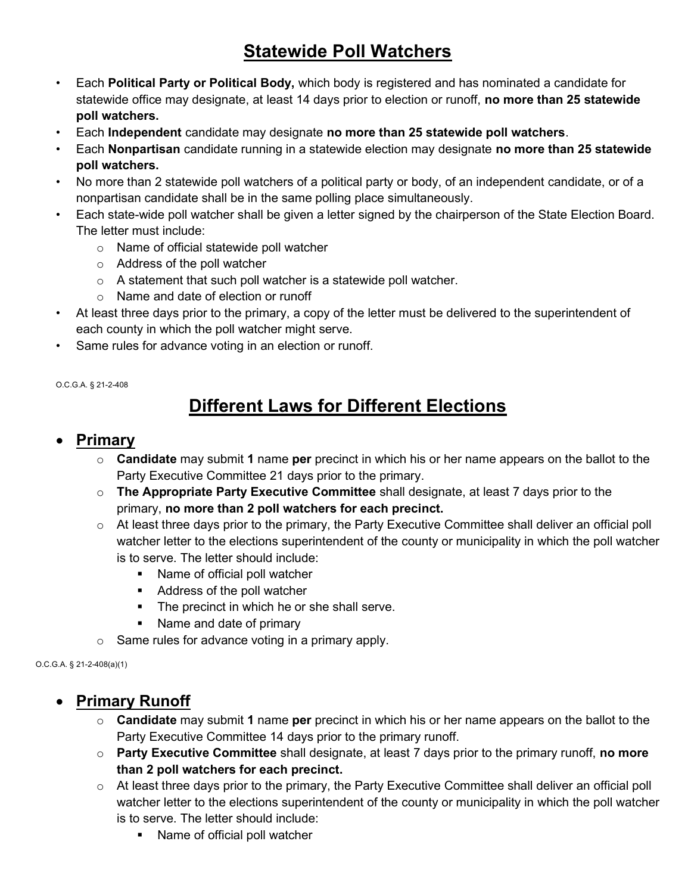## Statewide Poll Watchers

- Each Political Party or Political Body, which body is registered and has nominated a candidate for statewide office may designate, at least 14 days prior to election or runoff, no more than 25 statewide poll watchers.
- Each Independent candidate may designate no more than 25 statewide poll watchers.
- Each Nonpartisan candidate running in a statewide election may designate no more than 25 statewide poll watchers.
- No more than 2 statewide poll watchers of a political party or body, of an independent candidate, or of a nonpartisan candidate shall be in the same polling place simultaneously.
- Each state-wide poll watcher shall be given a letter signed by the chairperson of the State Election Board. The letter must include:
	- o Name of official statewide poll watcher
	- o Address of the poll watcher
	- $\circ$  A statement that such poll watcher is a statewide poll watcher.
	- o Name and date of election or runoff
- At least three days prior to the primary, a copy of the letter must be delivered to the superintendent of each county in which the poll watcher might serve.
- Same rules for advance voting in an election or runoff.

O.C.G.A. § 21-2-408

## Different Laws for Different Elections

#### Primary

- $\circ$  Candidate may submit 1 name per precinct in which his or her name appears on the ballot to the Party Executive Committee 21 days prior to the primary.
- $\circ$  The Appropriate Party Executive Committee shall designate, at least 7 days prior to the primary, no more than 2 poll watchers for each precinct.
- $\circ$  At least three days prior to the primary, the Party Executive Committee shall deliver an official poll watcher letter to the elections superintendent of the county or municipality in which the poll watcher is to serve. The letter should include:
	- Name of official poll watcher
	- Address of the poll watcher
	- **The precinct in which he or she shall serve.**
	- Name and date of primary
- $\circ$  Same rules for advance voting in a primary apply.

O.C.G.A. § 21-2-408(a)(1)

#### • Primary Runoff

- $\circ$  Candidate may submit 1 name per precinct in which his or her name appears on the ballot to the Party Executive Committee 14 days prior to the primary runoff.
- $\circ$  Party Executive Committee shall designate, at least 7 days prior to the primary runoff, no more than 2 poll watchers for each precinct.
- o At least three days prior to the primary, the Party Executive Committee shall deliver an official poll watcher letter to the elections superintendent of the county or municipality in which the poll watcher is to serve. The letter should include:
	- Name of official poll watcher